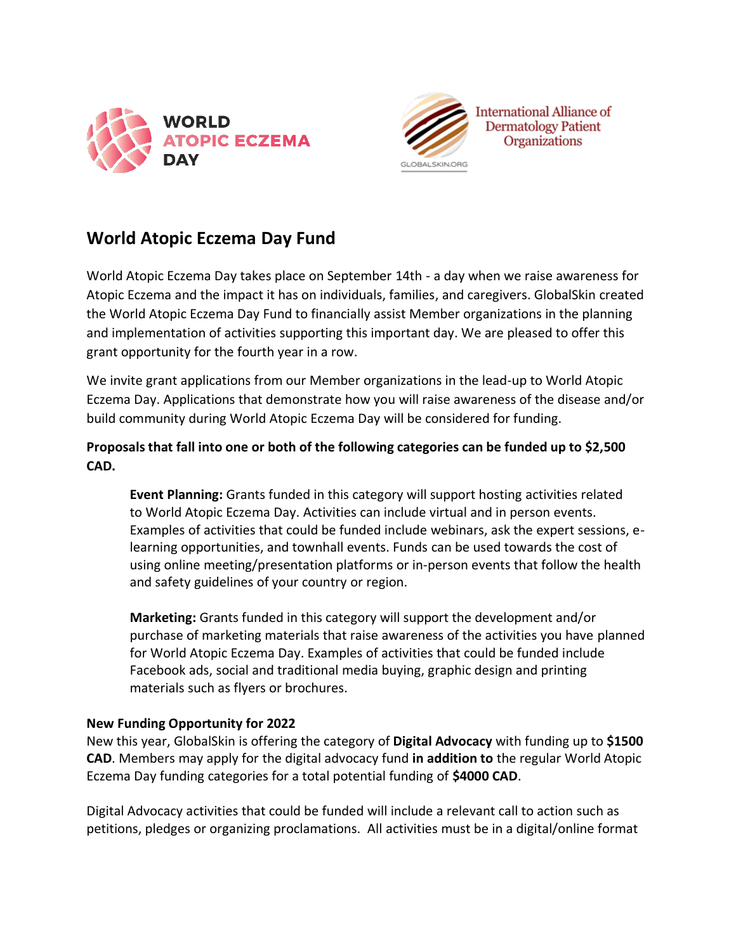



# **World Atopic Eczema Day Fund**

World Atopic Eczema Day takes place on September 14th - a day when we raise awareness for Atopic Eczema and the impact it has on individuals, families, and caregivers. GlobalSkin created the World Atopic Eczema Day Fund to financially assist Member organizations in the planning and implementation of activities supporting this important day. We are pleased to offer this grant opportunity for the fourth year in a row.

We invite grant applications from our Member organizations in the lead-up to World Atopic Eczema Day. Applications that demonstrate how you will raise awareness of the disease and/or build community during World Atopic Eczema Day will be considered for funding.

**Proposals that fall into one or both of the following categories can be funded up to \$2,500 CAD.** 

**Event Planning:** Grants funded in this category will support hosting activities related to World Atopic Eczema Day. Activities can include virtual and in person events. Examples of activities that could be funded include webinars, ask the expert sessions, elearning opportunities, and townhall events. Funds can be used towards the cost of using online meeting/presentation platforms or in-person events that follow the health and safety guidelines of your country or region.

**Marketing:** Grants funded in this category will support the development and/or purchase of marketing materials that raise awareness of the activities you have planned for World Atopic Eczema Day. Examples of activities that could be funded include Facebook ads, social and traditional media buying, graphic design and printing materials such as flyers or brochures.

## **New Funding Opportunity for 2022**

New this year, GlobalSkin is offering the category of **Digital Advocacy** with funding up to **\$1500 CAD**. Members may apply for the digital advocacy fund **in addition to** the regular World Atopic Eczema Day funding categories for a total potential funding of **\$4000 CAD**.

Digital Advocacy activities that could be funded will include a relevant call to action such as petitions, pledges or organizing proclamations. All activities must be in a digital/online format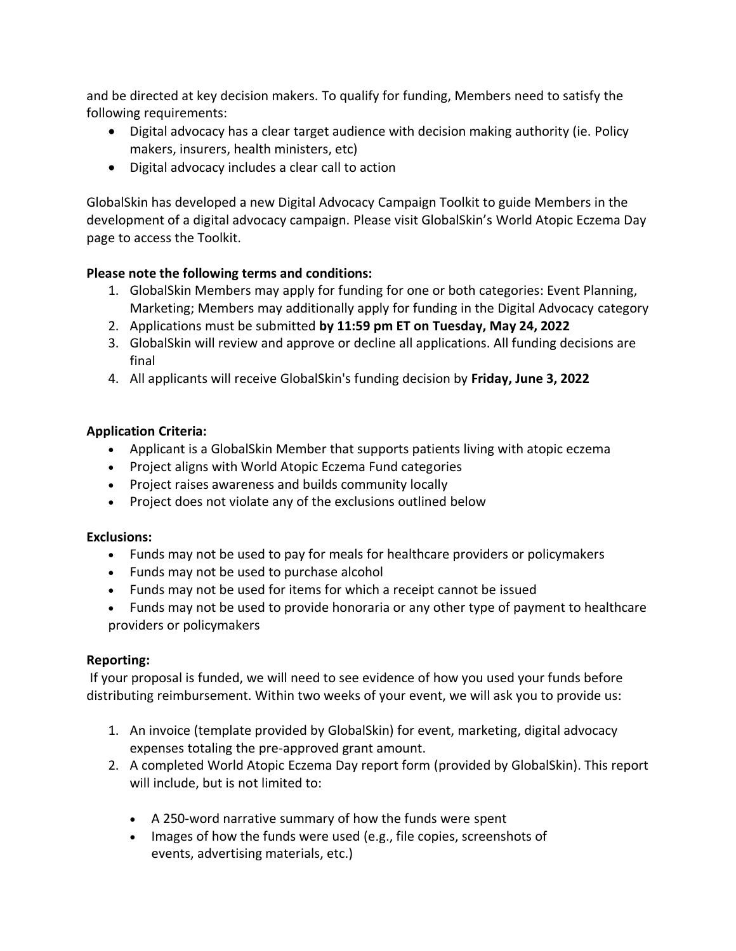and be directed at key decision makers. To qualify for funding, Members need to satisfy the following requirements:

- Digital advocacy has a clear target audience with decision making authority (ie. Policy makers, insurers, health ministers, etc)
- Digital advocacy includes a clear call to action

GlobalSkin has developed a new Digital Advocacy Campaign Toolkit to guide Members in the development of a digital advocacy campaign. Please visit GlobalSkin's World Atopic Eczema Day page to access the Toolkit.

## **Please note the following terms and conditions:**

- 1. GlobalSkin Members may apply for funding for one or both categories: Event Planning, Marketing; Members may additionally apply for funding in the Digital Advocacy category
- 2. Applications must be submitted **by 11:59 pm ET on Tuesday, May 24, 2022**
- 3. GlobalSkin will review and approve or decline all applications. All funding decisions are final
- 4. All applicants will receive GlobalSkin's funding decision by **Friday, June 3, 2022**

## **Application Criteria:**

- Applicant is a GlobalSkin Member that supports patients living with atopic eczema
- Project aligns with World Atopic Eczema Fund categories
- Project raises awareness and builds community locally
- Project does not violate any of the exclusions outlined below

## **Exclusions:**

- Funds may not be used to pay for meals for healthcare providers or policymakers
- Funds may not be used to purchase alcohol
- Funds may not be used for items for which a receipt cannot be issued
- Funds may not be used to provide honoraria or any other type of payment to healthcare providers or policymakers

## **Reporting:**

If your proposal is funded, we will need to see evidence of how you used your funds before distributing reimbursement. Within two weeks of your event, we will ask you to provide us:

- 1. An invoice (template provided by GlobalSkin) for event, marketing, digital advocacy expenses totaling the pre-approved grant amount.
- 2. A completed World Atopic Eczema Day report form (provided by GlobalSkin). This report will include, but is not limited to:
	- A 250-word narrative summary of how the funds were spent
	- Images of how the funds were used (e.g., file copies, screenshots of events, advertising materials, etc.)